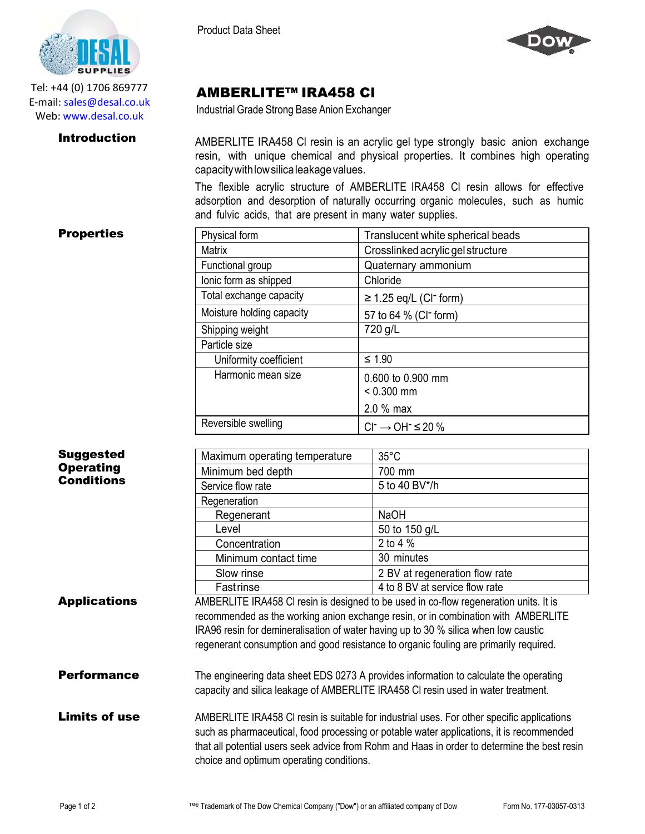

Tel: +44 (0) 1706 869777 E‐mail: sales@desal.co.uk Web: www.desal.co.uk

Product Data Sheet



# AMBERLITE™ IRA458 Cl

Industrial Grade Strong Base Anion Exchanger

**Introduction** AMBERLITE IRA458 CI resin is an acrylic gel type strongly basic anion exchange resin, with unique chemical and physical properties. It combines high operating capacitywithlowsilicaleakagevalues.

> The flexible acrylic structure of AMBERLITE IRA458 Cl resin allows for effective adsorption and desorption of naturally occurring organic molecules, such as humic and fulvic acids, that are present in many water supplies.

## **Properties**

| Physical form             | Translucent white spherical beads       |  |
|---------------------------|-----------------------------------------|--|
| Matrix                    | Crosslinked acrylic gel structure       |  |
| Functional group          | Quaternary ammonium                     |  |
| lonic form as shipped     | Chloride                                |  |
| Total exchange capacity   | $\geq$ 1.25 eq/L (CI <sup>-</sup> form) |  |
| Moisture holding capacity | 57 to 64 % (CI <sup>-</sup> form)       |  |
| Shipping weight           | 720 g/L                                 |  |
| Particle size             |                                         |  |
| Uniformity coefficient    | $≤ 1.90$                                |  |
| Harmonic mean size        | 0.600 to 0.900 mm<br>$< 0.300$ mm       |  |
|                           | $2.0 %$ max                             |  |
| Reversible swelling       | $Cl^{-} \rightarrow OH^{-} \leq 20 \%$  |  |

| <b>Suggested</b>    | Maximum operating temperature | $35^{\circ}$ C                                                                         |
|---------------------|-------------------------------|----------------------------------------------------------------------------------------|
| <b>Operating</b>    | Minimum bed depth             | 700 mm                                                                                 |
| <b>Conditions</b>   | Service flow rate             | 5 to 40 BV*/h                                                                          |
|                     | Regeneration                  |                                                                                        |
|                     | Regenerant                    | <b>NaOH</b>                                                                            |
|                     | Level                         | 50 to 150 g/L                                                                          |
|                     | Concentration                 | 2 to 4 %                                                                               |
|                     | Minimum contact time          | 30 minutes                                                                             |
|                     | Slow rinse                    | 2 BV at regeneration flow rate                                                         |
|                     | Fastrinse                     | 4 to 8 BV at service flow rate                                                         |
| <b>Annlications</b> |                               | AMPERLITE IDA 450 CL rooin is designed to be used in as flow regeneration unite. It is |

**Applications** AMBERLITE IRA458 CI resin is designed to be used in co-flow regeneration units. It is recommended as the working anion exchange resin, or in combination with AMBERLITE IRA96 resin for demineralisation of water having up to 30 % silica when low caustic regenerant consumption and good resistance to organic fouling are primarily required.

- **Performance** The engineering data sheet EDS 0273 A provides information to calculate the operating capacity and silica leakage of AMBERLITE IRA458 Cl resin used in water treatment.
- Limits of use AMBERLITE IRA458 CI resin is suitable for industrial uses. For other specific applications such as pharmaceutical, food processing or potable water applications, it is recommended that all potential users seek advice from Rohm and Haas in order to determine the best resin choice and optimum operating conditions.